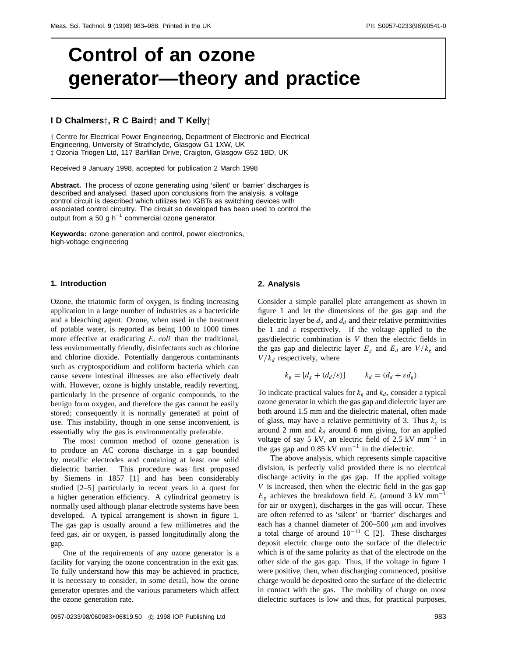# **Control of an ozone generator—theory and practice**

## **I D Chalmers***†***, R C Baird***†* **and T Kelly***‡*

*†* Centre for Electrical Power Engineering, Department of Electronic and Electrical Engineering, University of Strathclyde, Glasgow G1 1XW, UK *‡* Ozonia Triogen Ltd, 117 Barfillan Drive, Craigton, Glasgow G52 1BD, UK

Received 9 January 1998, accepted for publication 2 March 1998

**Abstract.** The process of ozone generating using 'silent' or 'barrier' discharges is described and analysed. Based upon conclusions from the analysis, a voltage control circuit is described which utilizes two IGBTs as switching devices with associated control circuitry. The circuit so developed has been used to control the output from a 50 g  $h^{-1}$  commercial ozone generator.

**Keywords:** ozone generation and control, power electronics, high-voltage engineering

#### **1. Introduction**

Ozone, the triatomic form of oxygen, is finding increasing application in a large number of industries as a bactericide and a bleaching agent. Ozone, when used in the treatment of potable water, is reported as being 100 to 1000 times more effective at eradicating *E. coli* than the traditional, less environmentally friendly, disinfectants such as chlorine and chlorine dioxide. Potentially dangerous contaminants such as cryptosporidium and coliform bacteria which can cause severe intestinal illnesses are also effectively dealt with. However, ozone is highly unstable, readily reverting, particularly in the presence of organic compounds, to the benign form oxygen, and therefore the gas cannot be easily stored; consequently it is normally generated at point of use. This instability, though in one sense inconvenient, is essentially why the gas is environmentally preferable.

The most common method of ozone generation is to produce an AC corona discharge in a gap bounded by metallic electrodes and containing at least one solid dielectric barrier. This procedure was first proposed by Siemens in 1857 [1] and has been considerably studied [2–5] particularly in recent years in a quest for a higher generation efficiency. A cylindrical geometry is normally used although planar electrode systems have been developed. A typical arrangement is shown in figure 1. The gas gap is usually around a few millimetres and the feed gas, air or oxygen, is passed longitudinally along the gap.

One of the requirements of any ozone generator is a facility for varying the ozone concentration in the exit gas. To fully understand how this may be achieved in practice, it is necessary to consider, in some detail, how the ozone generator operates and the various parameters which affect the ozone generation rate.

#### **2. Analysis**

Consider a simple parallel plate arrangement as shown in figure 1 and let the dimensions of the gas gap and the dielectric layer be  $d_g$  and  $d_d$  and their relative permittivities be 1 and *ε* respectively. If the voltage applied to the gas/dielectric combination is *V* then the electric fields in the gas gap and dielectric layer  $E_g$  and  $E_d$  are  $V/k_g$  and  $V/k_d$  respectively, where

$$
k_g = [d_g + (d_d/\varepsilon)] \qquad k_d = (d_d + \varepsilon d_g).
$$

To indicate practical values for  $k_g$  and  $k_d$ , consider a typical ozone generator in which the gas gap and dielectric layer are both around 1.5 mm and the dielectric material, often made of glass, may have a relative permittivity of 3. Thus  $k_g$  is around 2 mm and  $k_d$  around 6 mm giving, for an applied voltage of say 5 kV, an electric field of 2*.*5 kV mm<sup>−</sup><sup>1</sup> in the gas gap and  $0.85$  kV mm<sup>-1</sup> in the dielectric.

The above analysis, which represents simple capacitive division, is perfectly valid provided there is no electrical discharge activity in the gas gap. If the applied voltage *V* is increased, then when the electric field in the gas gap  $E_g$  achieves the breakdown field  $E_i$  (around 3 kV mm<sup>-1</sup>) for air or oxygen), discharges in the gas will occur. These are often referred to as 'silent' or 'barrier' discharges and each has a channel diameter of 200–500  $\mu$ m and involves a total charge of around  $10^{-10}$  C [2]. These discharges deposit electric charge onto the surface of the dielectric which is of the same polarity as that of the electrode on the other side of the gas gap. Thus, if the voltage in figure 1 were positive, then, when discharging commenced, positive charge would be deposited onto the surface of the dielectric in contact with the gas. The mobility of charge on most dielectric surfaces is low and thus, for practical purposes,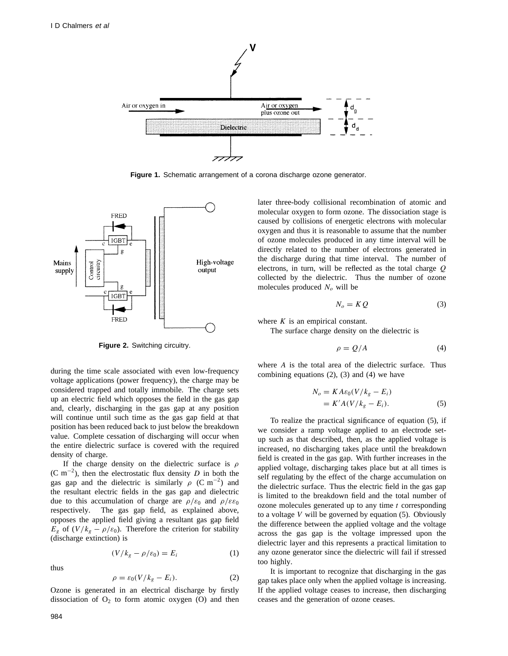

**Figure 1.** Schematic arrangement of a corona discharge ozone generator.



**Figure 2.** Switching circuitry.

during the time scale associated with even low-frequency voltage applications (power frequency), the charge may be considered trapped and totally immobile. The charge sets up an electric field which opposes the field in the gas gap and, clearly, discharging in the gas gap at any position will continue until such time as the gas gap field at that position has been reduced back to just below the breakdown value. Complete cessation of discharging will occur when the entire dielectric surface is covered with the required density of charge.

If the charge density on the dielectric surface is *ρ*  $(C \text{ m}^{-2})$ , then the electrostatic flux density *D* in both the gas gap and the dielectric is similarly  $\rho$  (C m<sup>-2</sup>) and the resultant electric fields in the gas gap and dielectric due to this accumulation of charge are  $\rho/\varepsilon_0$  and  $\rho/\varepsilon\varepsilon_0$ respectively. The gas gap field, as explained above, opposes the applied field giving a resultant gas gap field  $E_g$  of  $(V/k_g - \rho/\varepsilon_0)$ . Therefore the criterion for stability (discharge extinction) is

 $(V/k_g - \rho/\varepsilon_0) = E_i$  (1)

$$
\rho = \varepsilon_0 (V / k_g - E_i). \tag{2}
$$

Ozone is generated in an electrical discharge by firstly dissociation of  $O_2$  to form atomic oxygen (O) and then later three-body collisional recombination of atomic and molecular oxygen to form ozone. The dissociation stage is caused by collisions of energetic electrons with molecular oxygen and thus it is reasonable to assume that the number of ozone molecules produced in any time interval will be directly related to the number of electrons generated in the discharge during that time interval. The number of electrons, in turn, will be reflected as the total charge *Q* collected by the dielectric. Thus the number of ozone molecules produced *No* will be

$$
N_o = K Q \tag{3}
$$

where *K* is an empirical constant.

The surface charge density on the dielectric is

$$
\rho = Q/A \tag{4}
$$

where *A* is the total area of the dielectric surface. Thus combining equations (2), (3) and (4) we have

$$
N_o = KA\varepsilon_0 (V/k_g - E_i)
$$
  
=  $K'A(V/k_g - E_i)$ . (5)

To realize the practical significance of equation (5), if we consider a ramp voltage applied to an electrode setup such as that described, then, as the applied voltage is increased, no discharging takes place until the breakdown field is created in the gas gap. With further increases in the applied voltage, discharging takes place but at all times is self regulating by the effect of the charge accumulation on the dielectric surface. Thus the electric field in the gas gap is limited to the breakdown field and the total number of ozone molecules generated up to any time *t* corresponding to a voltage *V* will be governed by equation (5). Obviously the difference between the applied voltage and the voltage across the gas gap is the voltage impressed upon the dielectric layer and this represents a practical limitation to any ozone generator since the dielectric will fail if stressed too highly.

It is important to recognize that discharging in the gas gap takes place only when the applied voltage is increasing. If the applied voltage ceases to increase, then discharging ceases and the generation of ozone ceases.

984

thus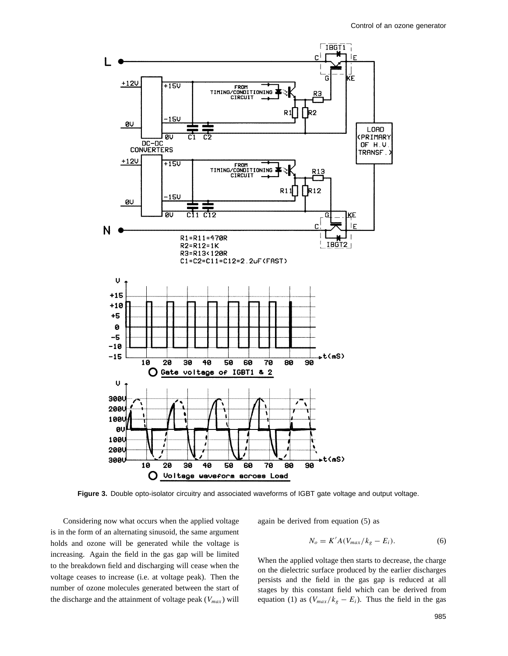

**Figure 3.** Double opto-isolator circuitry and associated waveforms of IGBT gate voltage and output voltage.

Considering now what occurs when the applied voltage is in the form of an alternating sinusoid, the same argument holds and ozone will be generated while the voltage is increasing. Again the field in the gas gap will be limited to the breakdown field and discharging will cease when the voltage ceases to increase (i.e. at voltage peak). Then the number of ozone molecules generated between the start of the discharge and the attainment of voltage peak (*Vmax* ) will again be derived from equation (5) as

$$
N_o = K'A(V_{max}/k_g - E_i). \tag{6}
$$

When the applied voltage then starts to decrease, the charge on the dielectric surface produced by the earlier discharges persists and the field in the gas gap is reduced at all stages by this constant field which can be derived from equation (1) as  $(V_{max}/k_g - E_i)$ . Thus the field in the gas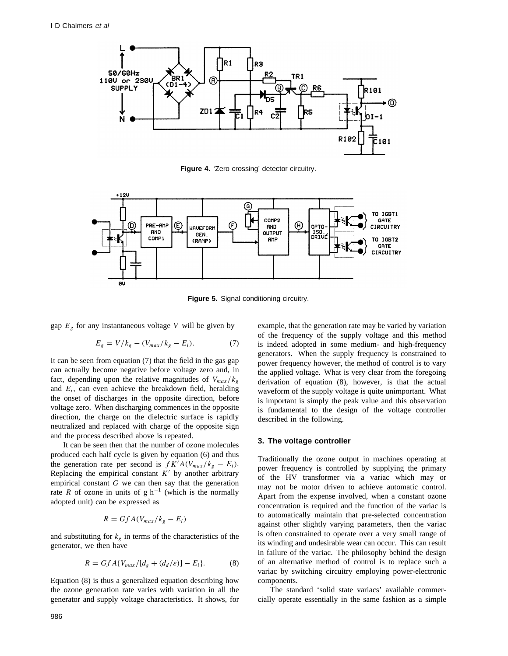

**Figure 4.** 'Zero crossing' detector circuitry.



**Figure 5.** Signal conditioning circuitry.

gap  $E_g$  for any instantaneous voltage *V* will be given by

$$
E_g = V/k_g - (V_{max}/k_g - E_i).
$$
 (7)

It can be seen from equation (7) that the field in the gas gap can actually become negative before voltage zero and, in fact, depending upon the relative magnitudes of  $V_{max}/k_g$ and *Ei*, can even achieve the breakdown field, heralding the onset of discharges in the opposite direction, before voltage zero. When discharging commences in the opposite direction, the charge on the dielectric surface is rapidly neutralized and replaced with charge of the opposite sign and the process described above is repeated.

It can be seen then that the number of ozone molecules produced each half cycle is given by equation (6) and thus the generation rate per second is  $f K' A (V_{max}/k_g - E_i)$ . Replacing the empirical constant  $K'$  by another arbitrary empirical constant *G* we can then say that the generation rate *R* of ozone in units of g  $h^{-1}$  (which is the normally adopted unit) can be expressed as

$$
R = GfA(V_{max}/k_g - E_i)
$$

and substituting for  $k<sub>g</sub>$  in terms of the characteristics of the generator, we then have

$$
R = GfA\{V_{max}/[d_g + (d_d/\varepsilon)] - E_i\}.
$$
 (8)

Equation (8) is thus a generalized equation describing how the ozone generation rate varies with variation in all the generator and supply voltage characteristics. It shows, for

example, that the generation rate may be varied by variation of the frequency of the supply voltage and this method is indeed adopted in some medium- and high-frequency generators. When the supply frequency is constrained to power frequency however, the method of control is to vary the applied voltage. What is very clear from the foregoing derivation of equation (8), however, is that the actual waveform of the supply voltage is quite unimportant. What is important is simply the peak value and this observation is fundamental to the design of the voltage controller described in the following.

## **3. The voltage controller**

Traditionally the ozone output in machines operating at power frequency is controlled by supplying the primary of the HV transformer via a variac which may or may not be motor driven to achieve automatic control. Apart from the expense involved, when a constant ozone concentration is required and the function of the variac is to automatically maintain that pre-selected concentration against other slightly varying parameters, then the variac is often constrained to operate over a very small range of its winding and undesirable wear can occur. This can result in failure of the variac. The philosophy behind the design of an alternative method of control is to replace such a variac by switching circuitry employing power-electronic components.

The standard 'solid state variacs' available commercially operate essentially in the same fashion as a simple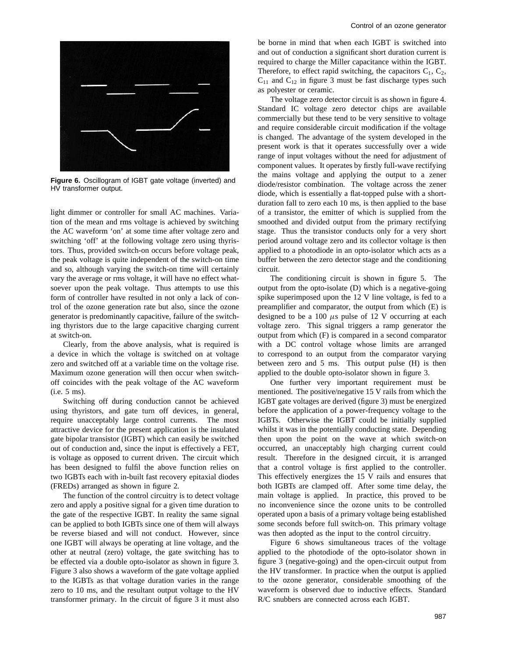

**Figure 6.** Oscillogram of IGBT gate voltage (inverted) and HV transformer output.

light dimmer or controller for small AC machines. Variation of the mean and rms voltage is achieved by switching the AC waveform 'on' at some time after voltage zero and switching 'off' at the following voltage zero using thyristors. Thus, provided switch-on occurs before voltage peak, the peak voltage is quite independent of the switch-on time and so, although varying the switch-on time will certainly vary the average or rms voltage, it will have no effect whatsoever upon the peak voltage. Thus attempts to use this form of controller have resulted in not only a lack of control of the ozone generation rate but also, since the ozone generator is predominantly capacitive, failure of the switching thyristors due to the large capacitive charging current at switch-on.

Clearly, from the above analysis, what is required is a device in which the voltage is switched on at voltage zero and switched off at a variable time on the voltage rise. Maximum ozone generation will then occur when switchoff coincides with the peak voltage of the AC waveform (i.e. 5 ms).

Switching off during conduction cannot be achieved using thyristors, and gate turn off devices, in general, require unacceptably large control currents. The most attractive device for the present application is the insulated gate bipolar transistor (IGBT) which can easily be switched out of conduction and, since the input is effectively a FET, is voltage as opposed to current driven. The circuit which has been designed to fulfil the above function relies on two IGBTs each with in-built fast recovery epitaxial diodes (FREDs) arranged as shown in figure 2.

The function of the control circuitry is to detect voltage zero and apply a positive signal for a given time duration to the gate of the respective IGBT. In reality the same signal can be applied to both IGBTs since one of them will always be reverse biased and will not conduct. However, since one IGBT will always be operating at line voltage, and the other at neutral (zero) voltage, the gate switching has to be effected via a double opto-isolator as shown in figure 3. Figure 3 also shows a waveform of the gate voltage applied to the IGBTs as that voltage duration varies in the range zero to 10 ms, and the resultant output voltage to the HV transformer primary. In the circuit of figure 3 it must also

be borne in mind that when each IGBT is switched into and out of conduction a significant short duration current is required to charge the Miller capacitance within the IGBT. Therefore, to effect rapid switching, the capacitors  $C_1$ ,  $C_2$ ,  $C_{11}$  and  $C_{12}$  in figure 3 must be fast discharge types such as polyester or ceramic.

The voltage zero detector circuit is as shown in figure 4. Standard IC voltage zero detector chips are available commercially but these tend to be very sensitive to voltage and require considerable circuit modification if the voltage is changed. The advantage of the system developed in the present work is that it operates successfully over a wide range of input voltages without the need for adjustment of component values. It operates by firstly full-wave rectifying the mains voltage and applying the output to a zener diode/resistor combination. The voltage across the zener diode, which is essentially a flat-topped pulse with a shortduration fall to zero each 10 ms, is then applied to the base of a transistor, the emitter of which is supplied from the smoothed and divided output from the primary rectifying stage. Thus the transistor conducts only for a very short period around voltage zero and its collector voltage is then applied to a photodiode in an opto-isolator which acts as a buffer between the zero detector stage and the conditioning circuit.

The conditioning circuit is shown in figure 5. The output from the opto-isolate (D) which is a negative-going spike superimposed upon the 12 V line voltage, is fed to a preamplifier and comparator, the output from which (E) is designed to be a 100  $\mu$ s pulse of 12 V occurring at each voltage zero. This signal triggers a ramp generator the output from which (F) is compared in a second comparator with a DC control voltage whose limits are arranged to correspond to an output from the comparator varying between zero and 5 ms. This output pulse (H) is then applied to the double opto-isolator shown in figure 3.

One further very important requirement must be mentioned. The positive/negative 15 V rails from which the IGBT gate voltages are derived (figure 3) must be energized before the application of a power-frequency voltage to the IGBTs. Otherwise the IGBT could be initially supplied whilst it was in the potentially conducting state. Depending then upon the point on the wave at which switch-on occurred, an unacceptably high charging current could result. Therefore in the designed circuit, it is arranged that a control voltage is first applied to the controller. This effectively energizes the 15 V rails and ensures that both IGBTs are clamped off. After some time delay, the main voltage is applied. In practice, this proved to be no inconvenience since the ozone units to be controlled operated upon a basis of a primary voltage being established some seconds before full switch-on. This primary voltage was then adopted as the input to the control circuitry.

Figure 6 shows simultaneous traces of the voltage applied to the photodiode of the opto-isolator shown in figure 3 (negative-going) and the open-circuit output from the HV transformer. In practice when the output is applied to the ozone generator, considerable smoothing of the waveform is observed due to inductive effects. Standard R/C snubbers are connected across each IGBT.